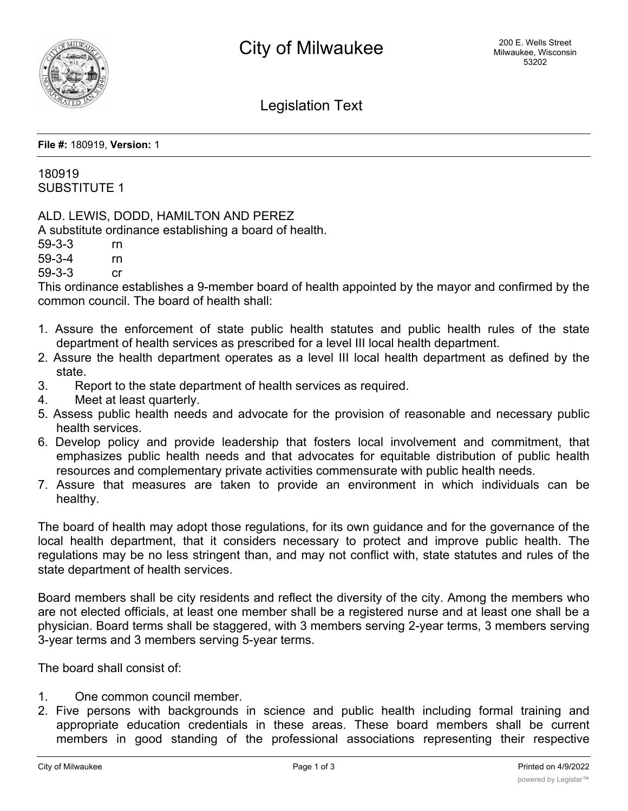

## Legislation Text

**File #:** 180919, **Version:** 1

180919 SUBSTITUTE 1

ALD. LEWIS, DODD, HAMILTON AND PEREZ

A substitute ordinance establishing a board of health.

59-3-3 rn

59-3-4 rn

59-3-3 cr

This ordinance establishes a 9-member board of health appointed by the mayor and confirmed by the common council. The board of health shall:

- 1. Assure the enforcement of state public health statutes and public health rules of the state department of health services as prescribed for a level III local health department.
- 2. Assure the health department operates as a level III local health department as defined by the state.
- 3. Report to the state department of health services as required.
- 4. Meet at least quarterly.
- 5. Assess public health needs and advocate for the provision of reasonable and necessary public health services.
- 6. Develop policy and provide leadership that fosters local involvement and commitment, that emphasizes public health needs and that advocates for equitable distribution of public health resources and complementary private activities commensurate with public health needs.
- 7. Assure that measures are taken to provide an environment in which individuals can be healthy.

The board of health may adopt those regulations, for its own guidance and for the governance of the local health department, that it considers necessary to protect and improve public health. The regulations may be no less stringent than, and may not conflict with, state statutes and rules of the state department of health services.

Board members shall be city residents and reflect the diversity of the city. Among the members who are not elected officials, at least one member shall be a registered nurse and at least one shall be a physician. Board terms shall be staggered, with 3 members serving 2-year terms, 3 members serving 3-year terms and 3 members serving 5-year terms.

The board shall consist of:

- 1. One common council member.
- 2. Five persons with backgrounds in science and public health including formal training and appropriate education credentials in these areas. These board members shall be current members in good standing of the professional associations representing their respective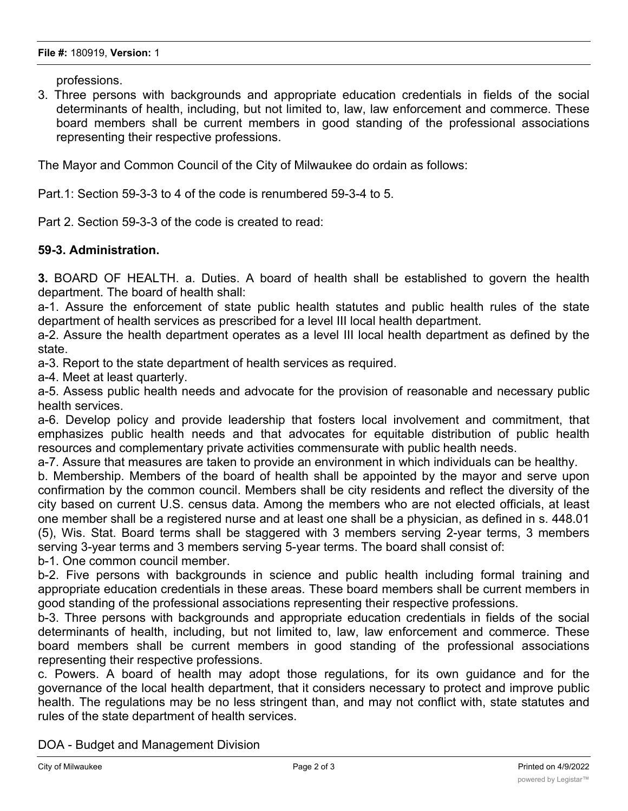professions.

3. Three persons with backgrounds and appropriate education credentials in fields of the social determinants of health, including, but not limited to, law, law enforcement and commerce. These board members shall be current members in good standing of the professional associations representing their respective professions.

The Mayor and Common Council of the City of Milwaukee do ordain as follows:

Part.1: Section 59-3-3 to 4 of the code is renumbered 59-3-4 to 5.

Part 2. Section 59-3-3 of the code is created to read:

## **59-3. Administration.**

**3.** BOARD OF HEALTH. a. Duties. A board of health shall be established to govern the health department. The board of health shall:

a-1. Assure the enforcement of state public health statutes and public health rules of the state department of health services as prescribed for a level III local health department.

a-2. Assure the health department operates as a level III local health department as defined by the state.

a-3. Report to the state department of health services as required.

a-4. Meet at least quarterly.

a-5. Assess public health needs and advocate for the provision of reasonable and necessary public health services.

a-6. Develop policy and provide leadership that fosters local involvement and commitment, that emphasizes public health needs and that advocates for equitable distribution of public health resources and complementary private activities commensurate with public health needs.

a-7. Assure that measures are taken to provide an environment in which individuals can be healthy.

b. Membership. Members of the board of health shall be appointed by the mayor and serve upon confirmation by the common council. Members shall be city residents and reflect the diversity of the city based on current U.S. census data. Among the members who are not elected officials, at least one member shall be a registered nurse and at least one shall be a physician, as defined in s. 448.01 (5), Wis. Stat. Board terms shall be staggered with 3 members serving 2-year terms, 3 members serving 3-year terms and 3 members serving 5-year terms. The board shall consist of:

b-1. One common council member.

b-2. Five persons with backgrounds in science and public health including formal training and appropriate education credentials in these areas. These board members shall be current members in good standing of the professional associations representing their respective professions.

b-3. Three persons with backgrounds and appropriate education credentials in fields of the social determinants of health, including, but not limited to, law, law enforcement and commerce. These board members shall be current members in good standing of the professional associations representing their respective professions.

c. Powers. A board of health may adopt those regulations, for its own guidance and for the governance of the local health department, that it considers necessary to protect and improve public health. The regulations may be no less stringent than, and may not conflict with, state statutes and rules of the state department of health services.

DOA - Budget and Management Division